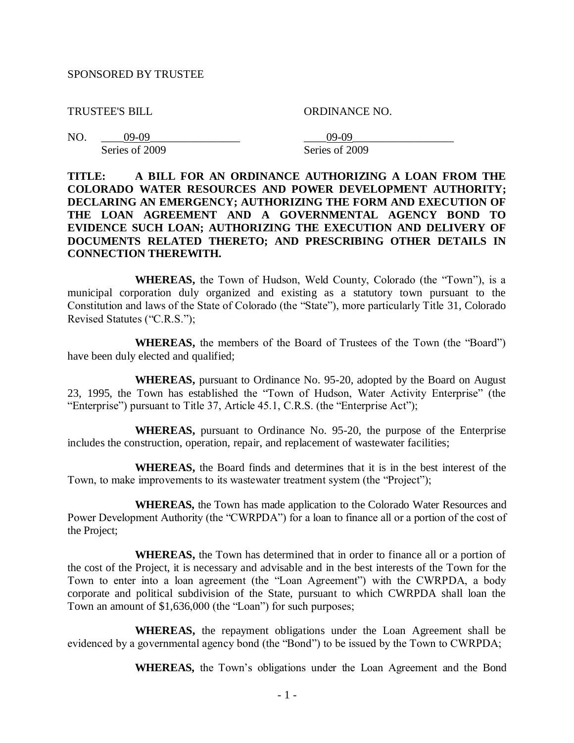#### SPONSORED BY TRUSTEE

TRUSTEE'S BILL ORDINANCE NO.

| NO. | 79-09-         | NO-V0          |
|-----|----------------|----------------|
|     | Series of 2009 | Series of 2009 |

### **TITLE: A BILL FOR AN ORDINANCE AUTHORIZING A LOAN FROM THE COLORADO WATER RESOURCES AND POWER DEVELOPMENT AUTHORITY; DECLARING AN EMERGENCY; AUTHORIZING THE FORM AND EXECUTION OF THE LOAN AGREEMENT AND A GOVERNMENTAL AGENCY BOND TO EVIDENCE SUCH LOAN; AUTHORIZING THE EXECUTION AND DELIVERY OF DOCUMENTS RELATED THERETO; AND PRESCRIBING OTHER DETAILS IN CONNECTION THEREWITH.**

**WHEREAS,** the Town of Hudson, Weld County, Colorado (the "Town"), is a municipal corporation duly organized and existing as a statutory town pursuant to the Constitution and laws of the State of Colorado (the "State"), more particularly Title 31, Colorado Revised Statutes ("C.R.S.");

**WHEREAS,** the members of the Board of Trustees of the Town (the "Board") have been duly elected and qualified;

**WHEREAS,** pursuant to Ordinance No. 95-20, adopted by the Board on August 23, 1995, the Town has established the "Town of Hudson, Water Activity Enterprise" (the "Enterprise") pursuant to Title 37, Article 45.1, C.R.S. (the "Enterprise Act");

**WHEREAS,** pursuant to Ordinance No. 95-20, the purpose of the Enterprise includes the construction, operation, repair, and replacement of wastewater facilities;

**WHEREAS,** the Board finds and determines that it is in the best interest of the Town, to make improvements to its wastewater treatment system (the "Project");

**WHEREAS,** the Town has made application to the Colorado Water Resources and Power Development Authority (the "CWRPDA") for a loan to finance all or a portion of the cost of the Project;

**WHEREAS,** the Town has determined that in order to finance all or a portion of the cost of the Project, it is necessary and advisable and in the best interests of the Town for the Town to enter into a loan agreement (the "Loan Agreement") with the CWRPDA, a body corporate and political subdivision of the State, pursuant to which CWRPDA shall loan the Town an amount of \$1,636,000 (the "Loan") for such purposes;

**WHEREAS,** the repayment obligations under the Loan Agreement shall be evidenced by a governmental agency bond (the "Bond") to be issued by the Town to CWRPDA;

**WHEREAS,** the Town's obligations under the Loan Agreement and the Bond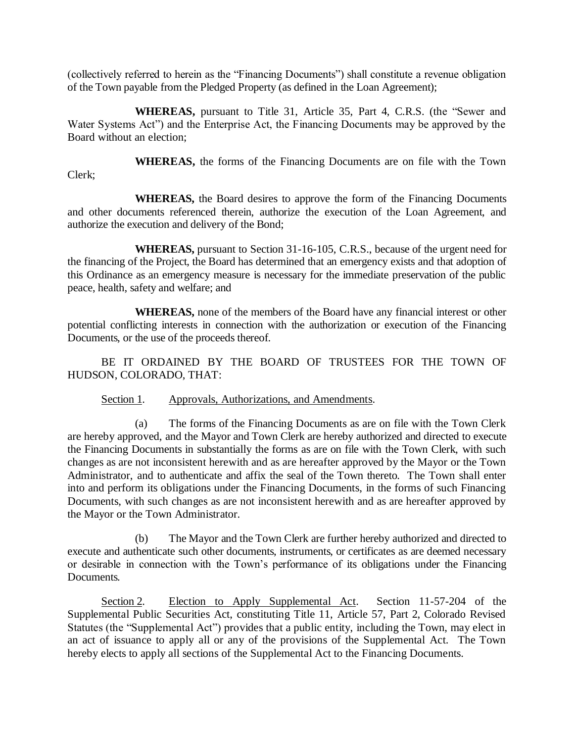(collectively referred to herein as the "Financing Documents") shall constitute a revenue obligation of the Town payable from the Pledged Property (as defined in the Loan Agreement);

**WHEREAS,** pursuant to Title 31, Article 35, Part 4, C.R.S. (the "Sewer and Water Systems Act") and the Enterprise Act, the Financing Documents may be approved by the Board without an election;

**WHEREAS,** the forms of the Financing Documents are on file with the Town Clerk;

**WHEREAS,** the Board desires to approve the form of the Financing Documents and other documents referenced therein, authorize the execution of the Loan Agreement, and authorize the execution and delivery of the Bond;

**WHEREAS,** pursuant to Section 31-16-105, C.R.S., because of the urgent need for the financing of the Project, the Board has determined that an emergency exists and that adoption of this Ordinance as an emergency measure is necessary for the immediate preservation of the public peace, health, safety and welfare; and

**WHEREAS,** none of the members of the Board have any financial interest or other potential conflicting interests in connection with the authorization or execution of the Financing Documents, or the use of the proceeds thereof.

BE IT ORDAINED BY THE BOARD OF TRUSTEES FOR THE TOWN OF HUDSON, COLORADO, THAT:

Section 1. Approvals, Authorizations, and Amendments.

(a) The forms of the Financing Documents as are on file with the Town Clerk are hereby approved, and the Mayor and Town Clerk are hereby authorized and directed to execute the Financing Documents in substantially the forms as are on file with the Town Clerk, with such changes as are not inconsistent herewith and as are hereafter approved by the Mayor or the Town Administrator, and to authenticate and affix the seal of the Town thereto. The Town shall enter into and perform its obligations under the Financing Documents, in the forms of such Financing Documents, with such changes as are not inconsistent herewith and as are hereafter approved by the Mayor or the Town Administrator.

(b) The Mayor and the Town Clerk are further hereby authorized and directed to execute and authenticate such other documents, instruments, or certificates as are deemed necessary or desirable in connection with the Town's performance of its obligations under the Financing Documents.

Section 2. Election to Apply Supplemental Act. Section 11-57-204 of the Supplemental Public Securities Act, constituting Title 11, Article 57, Part 2, Colorado Revised Statutes (the "Supplemental Act") provides that a public entity, including the Town, may elect in an act of issuance to apply all or any of the provisions of the Supplemental Act. The Town hereby elects to apply all sections of the Supplemental Act to the Financing Documents.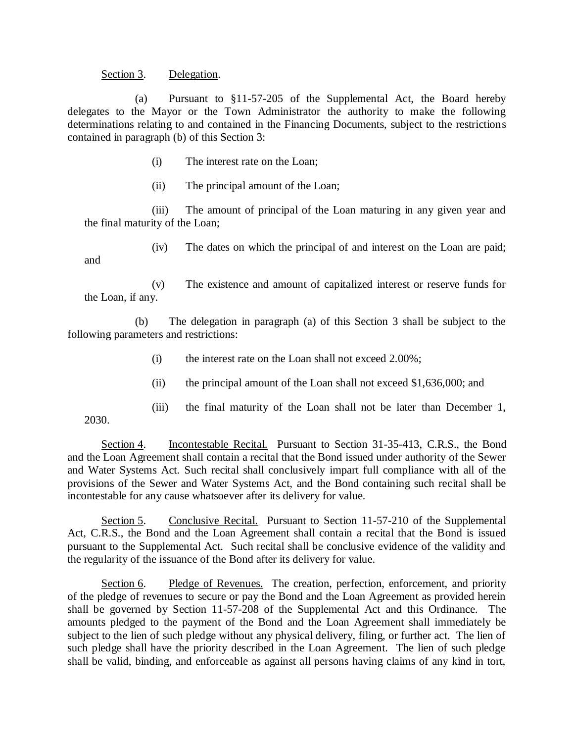#### Section 3. Delegation.

2030.

(a) Pursuant to §11-57-205 of the Supplemental Act, the Board hereby delegates to the Mayor or the Town Administrator the authority to make the following determinations relating to and contained in the Financing Documents, subject to the restrictions contained in paragraph (b) of this Section 3:

- (i) The interest rate on the Loan;
- (ii) The principal amount of the Loan;

(iii) The amount of principal of the Loan maturing in any given year and the final maturity of the Loan;

(iv) The dates on which the principal of and interest on the Loan are paid; and

(v) The existence and amount of capitalized interest or reserve funds for the Loan, if any.

(b) The delegation in paragraph (a) of this Section 3 shall be subject to the following parameters and restrictions:

- (i) the interest rate on the Loan shall not exceed 2.00%;
- (ii) the principal amount of the Loan shall not exceed \$1,636,000; and
- (iii) the final maturity of the Loan shall not be later than December 1,

Section 4. Incontestable Recital. Pursuant to Section 31-35-413, C.R.S., the Bond and the Loan Agreement shall contain a recital that the Bond issued under authority of the Sewer and Water Systems Act. Such recital shall conclusively impart full compliance with all of the provisions of the Sewer and Water Systems Act, and the Bond containing such recital shall be incontestable for any cause whatsoever after its delivery for value.

Section 5. Conclusive Recital. Pursuant to Section 11-57-210 of the Supplemental Act, C.R.S., the Bond and the Loan Agreement shall contain a recital that the Bond is issued pursuant to the Supplemental Act. Such recital shall be conclusive evidence of the validity and the regularity of the issuance of the Bond after its delivery for value.

Section 6. Pledge of Revenues. The creation, perfection, enforcement, and priority of the pledge of revenues to secure or pay the Bond and the Loan Agreement as provided herein shall be governed by Section 11-57-208 of the Supplemental Act and this Ordinance. The amounts pledged to the payment of the Bond and the Loan Agreement shall immediately be subject to the lien of such pledge without any physical delivery, filing, or further act. The lien of such pledge shall have the priority described in the Loan Agreement. The lien of such pledge shall be valid, binding, and enforceable as against all persons having claims of any kind in tort,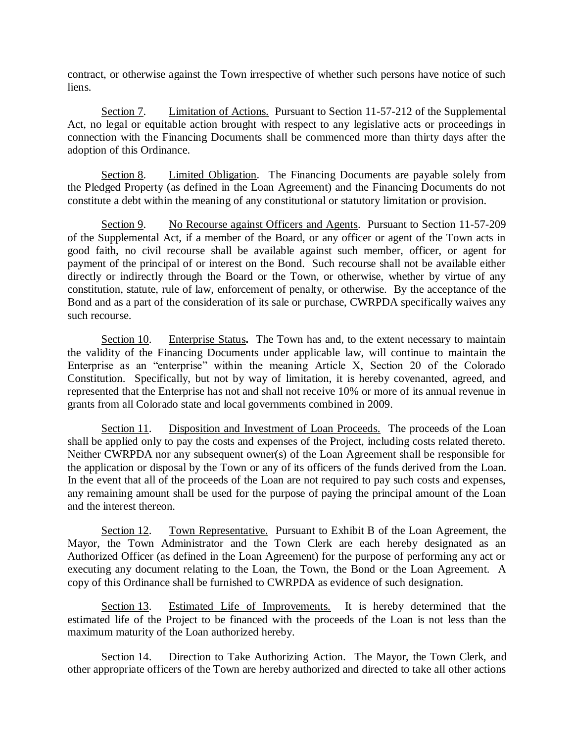contract, or otherwise against the Town irrespective of whether such persons have notice of such liens.

Section 7. Limitation of Actions. Pursuant to Section 11-57-212 of the Supplemental Act, no legal or equitable action brought with respect to any legislative acts or proceedings in connection with the Financing Documents shall be commenced more than thirty days after the adoption of this Ordinance.

Section 8. Limited Obligation. The Financing Documents are payable solely from the Pledged Property (as defined in the Loan Agreement) and the Financing Documents do not constitute a debt within the meaning of any constitutional or statutory limitation or provision.

Section 9. No Recourse against Officers and Agents. Pursuant to Section 11-57-209 of the Supplemental Act, if a member of the Board, or any officer or agent of the Town acts in good faith, no civil recourse shall be available against such member, officer, or agent for payment of the principal of or interest on the Bond. Such recourse shall not be available either directly or indirectly through the Board or the Town, or otherwise, whether by virtue of any constitution, statute, rule of law, enforcement of penalty, or otherwise. By the acceptance of the Bond and as a part of the consideration of its sale or purchase, CWRPDA specifically waives any such recourse.

Section 10. Enterprise Status**.** The Town has and, to the extent necessary to maintain the validity of the Financing Documents under applicable law, will continue to maintain the Enterprise as an "enterprise" within the meaning Article X, Section 20 of the Colorado Constitution. Specifically, but not by way of limitation, it is hereby covenanted, agreed, and represented that the Enterprise has not and shall not receive 10% or more of its annual revenue in grants from all Colorado state and local governments combined in 2009.

Section 11. Disposition and Investment of Loan Proceeds. The proceeds of the Loan shall be applied only to pay the costs and expenses of the Project, including costs related thereto. Neither CWRPDA nor any subsequent owner(s) of the Loan Agreement shall be responsible for the application or disposal by the Town or any of its officers of the funds derived from the Loan. In the event that all of the proceeds of the Loan are not required to pay such costs and expenses, any remaining amount shall be used for the purpose of paying the principal amount of the Loan and the interest thereon.

Section 12. Town Representative. Pursuant to Exhibit B of the Loan Agreement, the Mayor, the Town Administrator and the Town Clerk are each hereby designated as an Authorized Officer (as defined in the Loan Agreement) for the purpose of performing any act or executing any document relating to the Loan, the Town, the Bond or the Loan Agreement. A copy of this Ordinance shall be furnished to CWRPDA as evidence of such designation.

Section 13. Estimated Life of Improvements. It is hereby determined that the estimated life of the Project to be financed with the proceeds of the Loan is not less than the maximum maturity of the Loan authorized hereby.

Section 14. Direction to Take Authorizing Action. The Mayor, the Town Clerk, and other appropriate officers of the Town are hereby authorized and directed to take all other actions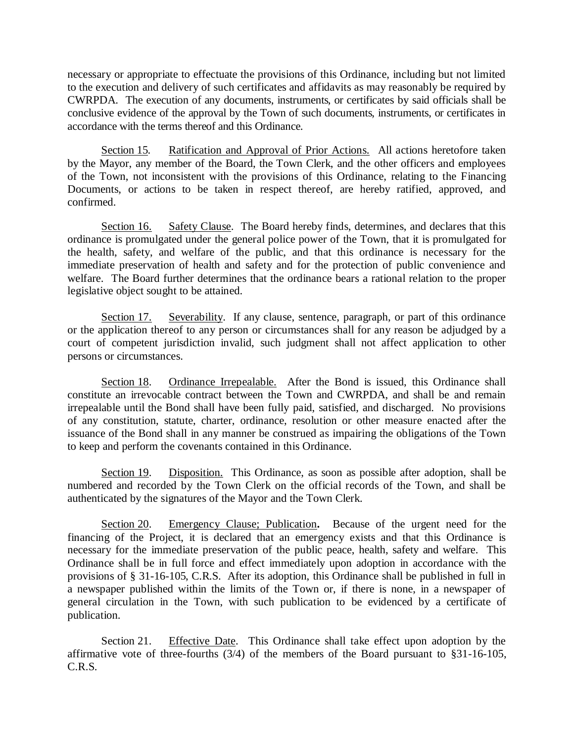necessary or appropriate to effectuate the provisions of this Ordinance, including but not limited to the execution and delivery of such certificates and affidavits as may reasonably be required by CWRPDA. The execution of any documents, instruments, or certificates by said officials shall be conclusive evidence of the approval by the Town of such documents, instruments, or certificates in accordance with the terms thereof and this Ordinance.

Section 15. Ratification and Approval of Prior Actions. All actions heretofore taken by the Mayor, any member of the Board, the Town Clerk, and the other officers and employees of the Town, not inconsistent with the provisions of this Ordinance, relating to the Financing Documents, or actions to be taken in respect thereof, are hereby ratified, approved, and confirmed.

Section 16. Safety Clause. The Board hereby finds, determines, and declares that this ordinance is promulgated under the general police power of the Town, that it is promulgated for the health, safety, and welfare of the public, and that this ordinance is necessary for the immediate preservation of health and safety and for the protection of public convenience and welfare. The Board further determines that the ordinance bears a rational relation to the proper legislative object sought to be attained.

Section 17. Severability. If any clause, sentence, paragraph, or part of this ordinance or the application thereof to any person or circumstances shall for any reason be adjudged by a court of competent jurisdiction invalid, such judgment shall not affect application to other persons or circumstances.

Section 18. Ordinance Irrepealable. After the Bond is issued, this Ordinance shall constitute an irrevocable contract between the Town and CWRPDA, and shall be and remain irrepealable until the Bond shall have been fully paid, satisfied, and discharged. No provisions of any constitution, statute, charter, ordinance, resolution or other measure enacted after the issuance of the Bond shall in any manner be construed as impairing the obligations of the Town to keep and perform the covenants contained in this Ordinance.

Section 19. Disposition. This Ordinance, as soon as possible after adoption, shall be numbered and recorded by the Town Clerk on the official records of the Town, and shall be authenticated by the signatures of the Mayor and the Town Clerk.

Section 20. Emergency Clause; Publication**.** Because of the urgent need for the financing of the Project, it is declared that an emergency exists and that this Ordinance is necessary for the immediate preservation of the public peace, health, safety and welfare. This Ordinance shall be in full force and effect immediately upon adoption in accordance with the provisions of § 31-16-105, C.R.S. After its adoption, this Ordinance shall be published in full in a newspaper published within the limits of the Town or, if there is none, in a newspaper of general circulation in the Town, with such publication to be evidenced by a certificate of publication.

Section 21. Effective Date. This Ordinance shall take effect upon adoption by the affirmative vote of three-fourths (3/4) of the members of the Board pursuant to §31-16-105, C.R.S.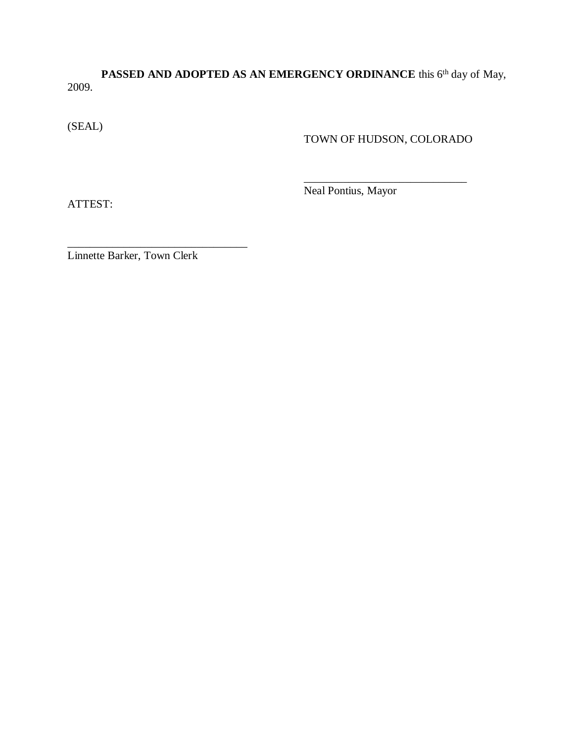PASSED AND ADOPTED AS AN EMERGENCY ORDINANCE this 6<sup>th</sup> day of May, 2009.

(SEAL)

TOWN OF HUDSON, COLORADO

\_\_\_\_\_\_\_\_\_\_\_\_\_\_\_\_\_\_\_\_\_\_\_\_\_\_\_\_\_

ATTEST:

Neal Pontius, Mayor

Linnette Barker, Town Clerk

\_\_\_\_\_\_\_\_\_\_\_\_\_\_\_\_\_\_\_\_\_\_\_\_\_\_\_\_\_\_\_\_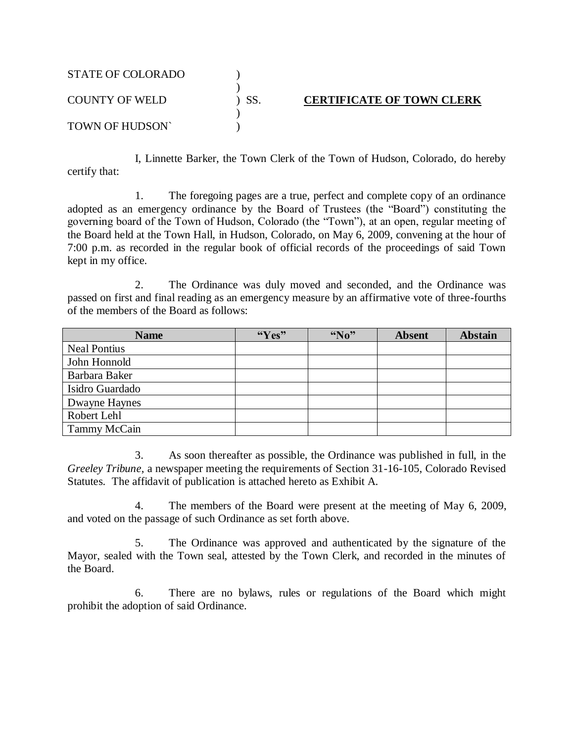| <b>STATE OF COLORADO</b> |     |                                  |
|--------------------------|-----|----------------------------------|
| <b>COUNTY OF WELD</b>    | SS. | <b>CERTIFICATE OF TOWN CLERK</b> |
| TOWN OF HUDSON`          |     |                                  |

I, Linnette Barker, the Town Clerk of the Town of Hudson, Colorado, do hereby certify that:

1. The foregoing pages are a true, perfect and complete copy of an ordinance adopted as an emergency ordinance by the Board of Trustees (the "Board") constituting the governing board of the Town of Hudson, Colorado (the "Town"), at an open, regular meeting of the Board held at the Town Hall, in Hudson, Colorado, on May 6, 2009, convening at the hour of 7:00 p.m. as recorded in the regular book of official records of the proceedings of said Town kept in my office.

2. The Ordinance was duly moved and seconded, and the Ordinance was passed on first and final reading as an emergency measure by an affirmative vote of three-fourths of the members of the Board as follows:

| <b>Name</b>         | ``Yes" | $\mathbf{W}_0$ " | <b>Absent</b> | <b>Abstain</b> |
|---------------------|--------|------------------|---------------|----------------|
| <b>Neal Pontius</b> |        |                  |               |                |
| John Honnold        |        |                  |               |                |
| Barbara Baker       |        |                  |               |                |
| Isidro Guardado     |        |                  |               |                |
| Dwayne Haynes       |        |                  |               |                |
| Robert Lehl         |        |                  |               |                |
| Tammy McCain        |        |                  |               |                |

3. As soon thereafter as possible, the Ordinance was published in full, in the *Greeley Tribune*, a newspaper meeting the requirements of Section 31-16-105, Colorado Revised Statutes. The affidavit of publication is attached hereto as Exhibit A.

4. The members of the Board were present at the meeting of May 6, 2009, and voted on the passage of such Ordinance as set forth above.

5. The Ordinance was approved and authenticated by the signature of the Mayor, sealed with the Town seal, attested by the Town Clerk, and recorded in the minutes of the Board.

6. There are no bylaws, rules or regulations of the Board which might prohibit the adoption of said Ordinance.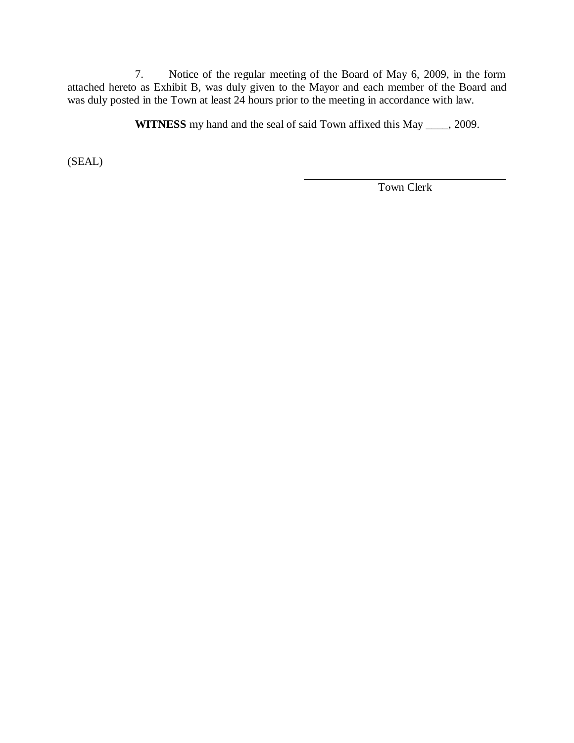7. Notice of the regular meeting of the Board of May 6, 2009, in the form attached hereto as Exhibit B, was duly given to the Mayor and each member of the Board and was duly posted in the Town at least 24 hours prior to the meeting in accordance with law.

**WITNESS** my hand and the seal of said Town affixed this May \_\_\_\_, 2009.

(SEAL)

Town Clerk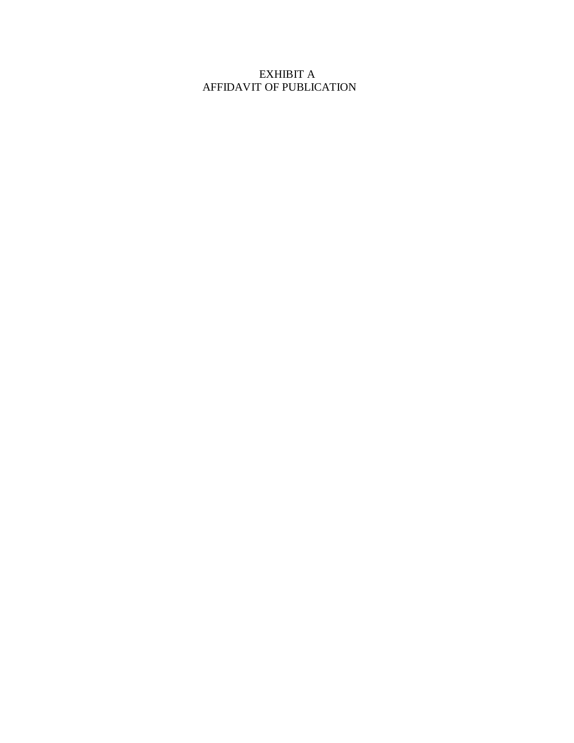# EXHIBIT A AFFIDAVIT OF PUBLICATION